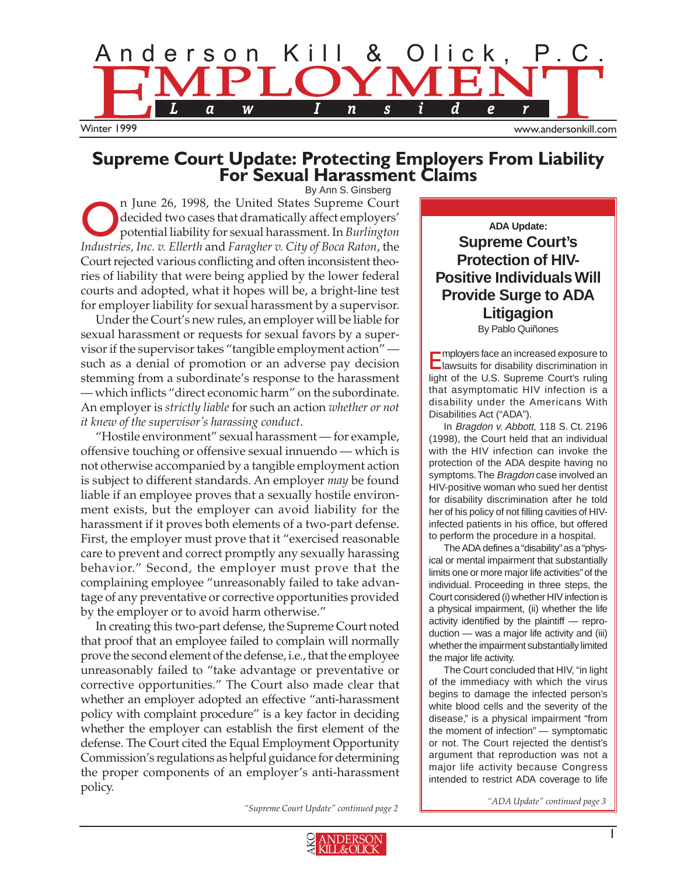

# **Supreme Court Update: Protecting Employers From Liability For Sexual Harassment Claims**

By Ann S. Ginsberg

The United States Supreme Court<br>decided two cases that dramatically affect employers'<br>potential liability for sexual harassment. In *Burlington* decided two cases that dramatically affect employers' potential liability for sexual harassment. In *Burlington Industries, Inc. v. Ellerth* and *Faragher v. City of Boca Raton*, the Court rejected various conflicting and often inconsistent theories of liability that were being applied by the lower federal courts and adopted, what it hopes will be, a bright-line test for employer liability for sexual harassment by a supervisor.

Under the Court's new rules, an employer will be liable for sexual harassment or requests for sexual favors by a supervisor if the supervisor takes "tangible employment action" such as a denial of promotion or an adverse pay decision stemming from a subordinate's response to the harassment — which inflicts "direct economic harm" on the subordinate. An employer is *strictly liable* for such an action *whether or not it knew of the supervisor's harassing conduct*.

"Hostile environment" sexual harassment — for example, offensive touching or offensive sexual innuendo — which is not otherwise accompanied by a tangible employment action is subject to different standards. An employer *may* be found liable if an employee proves that a sexually hostile environment exists, but the employer can avoid liability for the harassment if it proves both elements of a two-part defense. First, the employer must prove that it "exercised reasonable care to prevent and correct promptly any sexually harassing behavior." Second, the employer must prove that the complaining employee "unreasonably failed to take advantage of any preventative or corrective opportunities provided by the employer or to avoid harm otherwise."

In creating this two-part defense, the Supreme Court noted that proof that an employee failed to complain will normally prove the second element of the defense, i.e., that the employee unreasonably failed to "take advantage or preventative or corrective opportunities." The Court also made clear that whether an employer adopted an effective "anti-harassment policy with complaint procedure" is a key factor in deciding whether the employer can establish the first element of the defense. The Court cited the Equal Employment Opportunity Commission's regulations as helpful guidance for determining the proper components of an employer's anti-harassment policy.

**ADA Update: Supreme Court's Protection of HIV-Positive Individuals Will Provide Surge to ADA Litigagion**  By Pablo Quiñones

Employers face an increased exposure to lawsuits for disability discrimination in light of the U.S. Supreme Court's ruling that asymptomatic HIV infection is a disability under the Americans With Disabilities Act ("ADA").

In Bragdon v. Abbott, 118 S. Ct. 2196 (1998), the Court held that an individual with the HIV infection can invoke the protection of the ADA despite having no symptoms. The Bragdon case involved an HIV-positive woman who sued her dentist for disability discrimination after he told her of his policy of not filling cavities of HIVinfected patients in his office, but offered to perform the procedure in a hospital.

The ADA defines a "disability"as a "physical or mental impairment that substantially limits one or more major life activities" of the individual. Proceeding in three steps, the Court considered (i) whether HIV infection is a physical impairment, (ii) whether the life activity identified by the plaintiff — reproduction — was a major life activity and (iii) whether the impairment substantially limited the major life activity.

The Court concluded that HIV, "in light of the immediacy with which the virus begins to damage the infected person's white blood cells and the severity of the disease," is a physical impairment "from the moment of infection" — symptomatic or not. The Court rejected the dentist's argument that reproduction was not a major life activity because Congress intended to restrict ADA coverage to life

*"Supreme Court Update" continued page 2 "ADA Update" continued page 3*

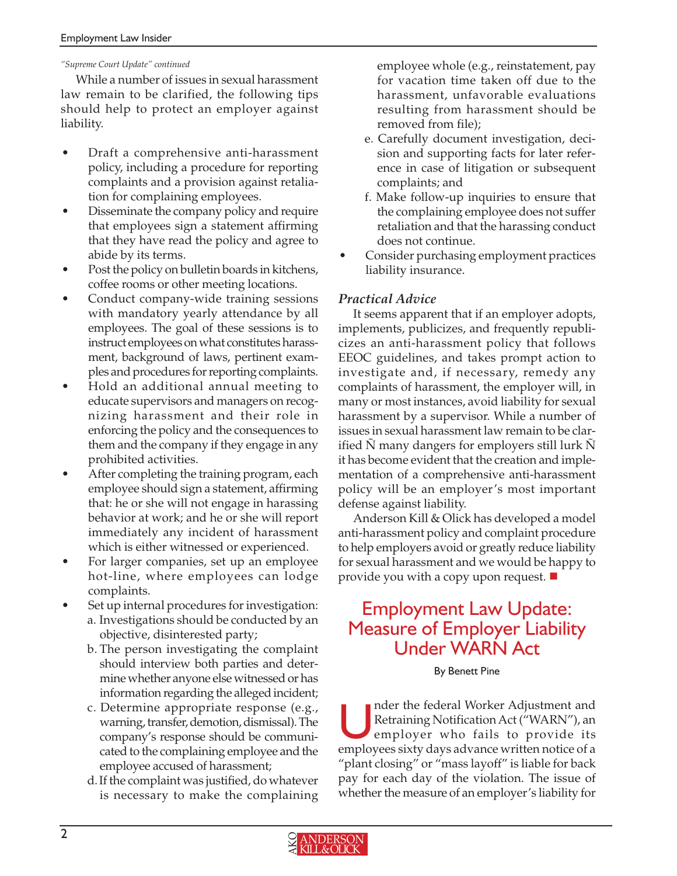### *"Supreme Court Update" continued*

While a number of issues in sexual harassment law remain to be clarified, the following tips should help to protect an employer against liability.

- Draft a comprehensive anti-harassment policy, including a procedure for reporting complaints and a provision against retaliation for complaining employees.
- Disseminate the company policy and require that employees sign a statement affirming that they have read the policy and agree to abide by its terms.
- Post the policy on bulletin boards in kitchens, coffee rooms or other meeting locations.
- Conduct company-wide training sessions with mandatory yearly attendance by all employees. The goal of these sessions is to instruct employees on what constitutes harassment, background of laws, pertinent examples and procedures for reporting complaints.
- Hold an additional annual meeting to educate supervisors and managers on recognizing harassment and their role in enforcing the policy and the consequences to them and the company if they engage in any prohibited activities.
- After completing the training program, each employee should sign a statement, affirming that: he or she will not engage in harassing behavior at work; and he or she will report immediately any incident of harassment which is either witnessed or experienced.
- For larger companies, set up an employee hot-line, where employees can lodge complaints.
- Set up internal procedures for investigation: a. Investigations should be conducted by an objective, disinterested party;
	- b. The person investigating the complaint should interview both parties and determine whether anyone else witnessed or has information regarding the alleged incident;
	- c. Determine appropriate response (e.g., warning, transfer, demotion, dismissal). The company's response should be communicated to the complaining employee and the employee accused of harassment;
	- d. If the complaint was justified, do whatever is necessary to make the complaining

employee whole (e.g., reinstatement, pay for vacation time taken off due to the harassment, unfavorable evaluations resulting from harassment should be removed from file);

- e. Carefully document investigation, decision and supporting facts for later reference in case of litigation or subsequent complaints; and
- f. Make follow-up inquiries to ensure that the complaining employee does not suffer retaliation and that the harassing conduct does not continue.
- Consider purchasing employment practices liability insurance.

### *Practical Advice*

It seems apparent that if an employer adopts, implements, publicizes, and frequently republicizes an anti-harassment policy that follows EEOC guidelines, and takes prompt action to investigate and, if necessary, remedy any complaints of harassment, the employer will, in many or most instances, avoid liability for sexual harassment by a supervisor. While a number of issues in sexual harassment law remain to be clarified N many dangers for employers still lurk N it has become evident that the creation and implementation of a comprehensive anti-harassment policy will be an employer's most important defense against liability.

Anderson Kill & Olick has developed a model anti-harassment policy and complaint procedure to help employers avoid or greatly reduce liability for sexual harassment and we would be happy to provide you with a copy upon request.

### Employment Law Update: Measure of Employer Liability Under WARN Act

#### By Benett Pine

nder the federal Worker Adjustment and Retraining Notification Act ("WARN"), an employer who fails to provide its employees sixty days advance written notice of a "plant closing" or "mass layoff" is liable for back pay for each day of the violation. The issue of whether the measure of an employer's liability for

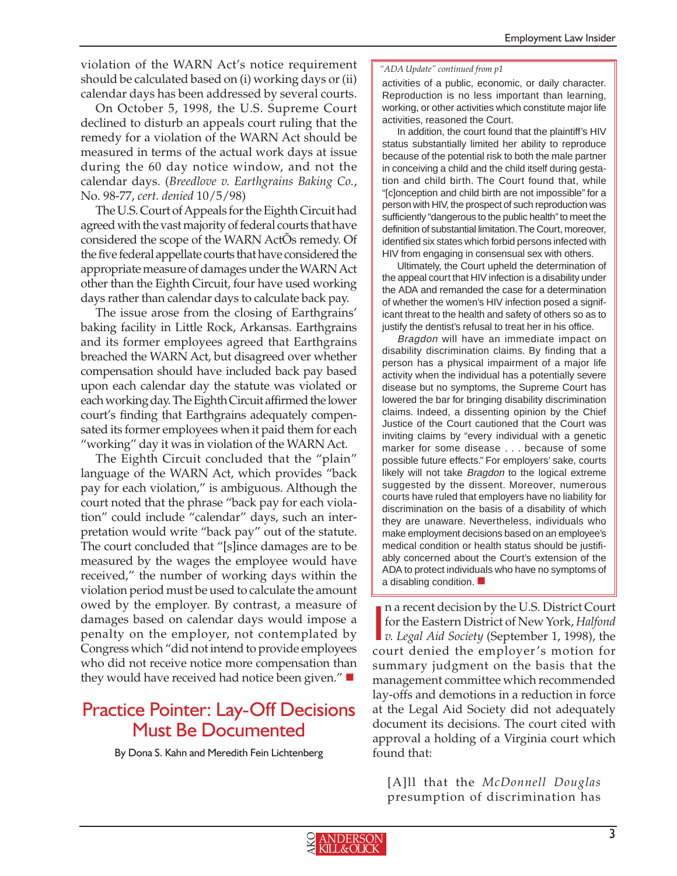violation of the WARN Act's notice requirement should be calculated based on (i) working days or (ii) calendar days has been addressed by several courts.

On October 5, 1998, the U.S. Supreme Court declined to disturb an appeals court ruling that the remedy for a violation of the WARN Act should be measured in terms of the actual work days at issue during the 60 day notice window, and not the calendar days. (*Breedlove v. Earthgrains Baking Co.*, No. 98-77, *cert. denied* 10/5/98)

The U.S. Court of Appeals for the Eighth Circuit had agreed with the vast majority of federal courts that have considered the scope of the WARN ActÕs remedy. Of the five federal appellate courts that have considered the appropriate measure of damages under the WARN Act other than the Eighth Circuit, four have used working days rather than calendar days to calculate back pay.

The issue arose from the closing of Earthgrains' baking facility in Little Rock, Arkansas. Earthgrains and its former employees agreed that Earthgrains breached the WARN Act, but disagreed over whether compensation should have included back pay based upon each calendar day the statute was violated or each working day. The Eighth Circuit affirmed the lower court's finding that Earthgrains adequately compensated its former employees when it paid them for each "working" day it was in violation of the WARN Act.

The Eighth Circuit concluded that the "plain" language of the WARN Act, which provides "back pay for each violation," is ambiguous. Although the court noted that the phrase "back pay for each violation" could include "calendar" days, such an interpretation would write "back pay" out of the statute. The court concluded that "[s]ince damages are to be measured by the wages the employee would have received," the number of working days within the violation period must be used to calculate the amount owed by the employer. By contrast, a measure of damages based on calendar days would impose a penalty on the employer, not contemplated by Congress which "did not intend to provide employees who did not receive notice more compensation than they would have received had notice been given." ■

### Practice Pointer: Lay-Off Decisions Must Be Documented

By Dona S. Kahn and Meredith Fein Lichtenberg

#### *"ADA Update" continued from p1*

**RECENT** activities of a public, economic, or daily character. **DEVELOPMENTS** working, or other activities which constitute major life Reproduction is no less important than learning, activities, reasoned the Court.

In addition, the court found that the plaintiff's HIV status substantially limited her ability to reproduce because of the potential risk to both the male partner in conceiving a child and the child itself during gestation and child birth. The Court found that, while "[c]onception and child birth are not impossible" for a person with HIV, the prospect of such reproduction was sufficiently "dangerous to the public health" to meet the definition of substantial limitation.The Court, moreover, identified six states which forbid persons infected with HIV from engaging in consensual sex with others.

Ultimately, the Court upheld the determination of the appeal court that HIV infection is a disability under the ADA and remanded the case for a determination of whether the women's HIV infection posed a significant threat to the health and safety of others so as to justify the dentist's refusal to treat her in his office.

Bragdon will have an immediate impact on disability discrimination claims. By finding that a person has a physical impairment of a major life activity when the individual has a potentially severe disease but no symptoms, the Supreme Court has lowered the bar for bringing disability discrimination claims. Indeed, a dissenting opinion by the Chief Justice of the Court cautioned that the Court was inviting claims by "every individual with a genetic marker for some disease . . . because of some possible future effects." For employers' sake, courts likely will not take Bragdon to the logical extreme suggested by the dissent. Moreover, numerous courts have ruled that employers have no liability for discrimination on the basis of a disability of which they are unaware. Nevertheless, individuals who make employment decisions based on an employee's medical condition or health status should be justifiably concerned about the Court's extension of the ADA to protect individuals who have no symptoms of a disabling condition.

**n** a recent decision by the U.S. District Court<br>for the Eastern District of New York, *Halfond*<br>*v. Legal Aid Society* (September 1, 1998), the n a recent decision by the U.S. District Court for the Eastern District of New York, *Halfond* court denied the employer's motion for summary judgment on the basis that the management committee which recommended lay-offs and demotions in a reduction in force at the Legal Aid Society did not adequately document its decisions. The court cited with approval a holding of a Virginia court which found that:

[A]ll that the *McDonnell Douglas* presumption of discrimination has

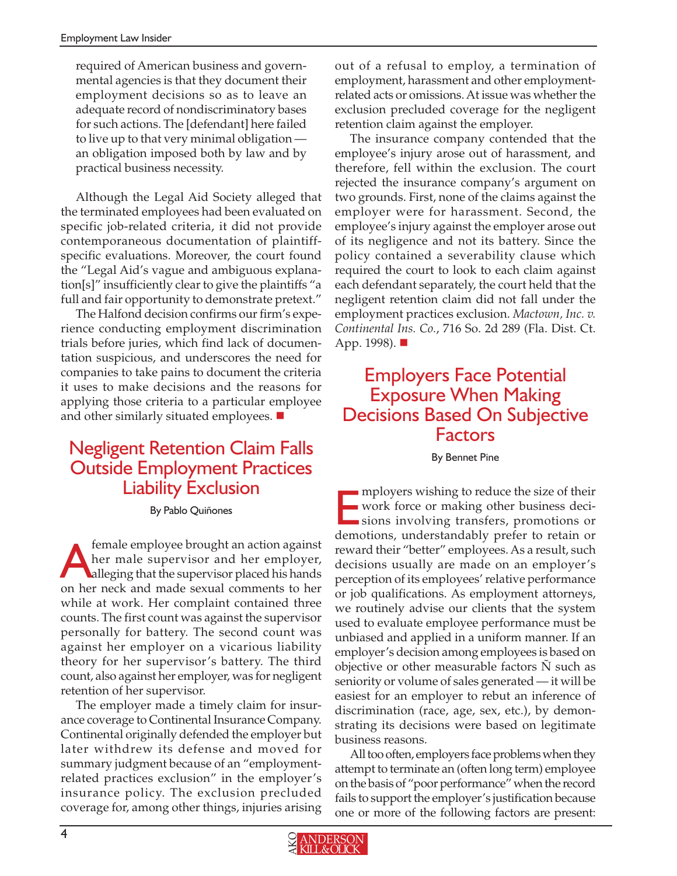required of American business and governmental agencies is that they document their employment decisions so as to leave an adequate record of nondiscriminatory bases for such actions. The [defendant] here failed to live up to that very minimal obligation an obligation imposed both by law and by practical business necessity.

Although the Legal Aid Society alleged that the terminated employees had been evaluated on specific job-related criteria, it did not provide contemporaneous documentation of plaintiffspecific evaluations. Moreover, the court found the "Legal Aid's vague and ambiguous explanation[s]" insufficiently clear to give the plaintiffs "a full and fair opportunity to demonstrate pretext."

The Halfond decision confirms our firm's experience conducting employment discrimination trials before juries, which find lack of documentation suspicious, and underscores the need for companies to take pains to document the criteria it uses to make decisions and the reasons for applying those criteria to a particular employee and other similarly situated employees.  $\blacksquare$ 

## Negligent Retention Claim Falls Outside Employment Practices Liability Exclusion

By Pablo Quiñones

female employee brought an action against her male supervisor and her employer, alleging that the supervisor placed his hands on her neck and made sexual comments to her while at work. Her complaint contained three counts. The first count was against the supervisor personally for battery. The second count was against her employer on a vicarious liability theory for her supervisor's battery. The third count, also against her employer, was for negligent retention of her supervisor.

The employer made a timely claim for insurance coverage to Continental Insurance Company. Continental originally defended the employer but later withdrew its defense and moved for summary judgment because of an "employmentrelated practices exclusion" in the employer's insurance policy. The exclusion precluded coverage for, among other things, injuries arising

out of a refusal to employ, a termination of employment, harassment and other employmentrelated acts or omissions. At issue was whether the exclusion precluded coverage for the negligent retention claim against the employer.

The insurance company contended that the employee's injury arose out of harassment, and therefore, fell within the exclusion. The court rejected the insurance company's argument on two grounds. First, none of the claims against the employer were for harassment. Second, the employee's injury against the employer arose out of its negligence and not its battery. Since the policy contained a severability clause which required the court to look to each claim against each defendant separately, the court held that the negligent retention claim did not fall under the employment practices exclusion. *Mactown, Inc. v. Continental Ins. Co.*, 716 So. 2d 289 (Fla. Dist. Ct. App. 1998). ■

### Employers Face Potential Exposure When Making Decisions Based On Subjective Factors

#### By Bennet Pine

mployers wishing to reduce the size of their<br>work force or making other business decisions involving transfers, promotions or<br>demotions and enter delia prefer to retain and mployers wishing to reduce the size of their work force or making other business decidemotions, understandably prefer to retain or reward their "better" employees. As a result, such decisions usually are made on an employer's perception of its employees' relative performance or job qualifications. As employment attorneys, we routinely advise our clients that the system used to evaluate employee performance must be unbiased and applied in a uniform manner. If an employer's decision among employees is based on objective or other measurable factors Ñ such as seniority or volume of sales generated — it will be easiest for an employer to rebut an inference of discrimination (race, age, sex, etc.), by demonstrating its decisions were based on legitimate business reasons.

All too often, employers face problems when they attempt to terminate an (often long term) employee on the basis of "poor performance" when the record fails to support the employer's justification because one or more of the following factors are present: